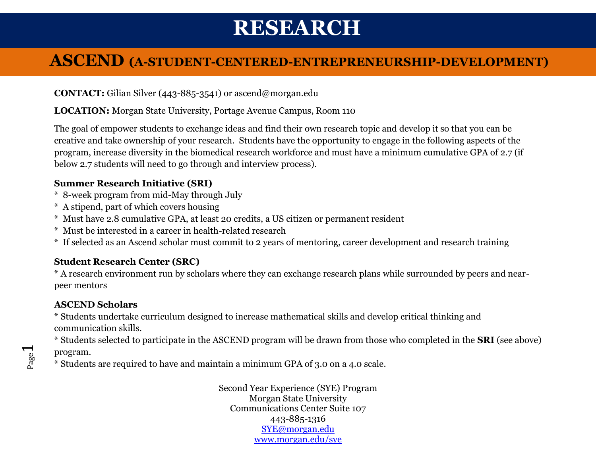#### **ASCEND (A-STUDENT-CENTERED-ENTREPRENEURSHIP-DEVELOPMENT)**

**CONTACT:** Gilian Silver (443-885-3541) or [ascend@morgan.edu](mailto:Ascend@morgan.edu)

**LOCATION:** Morgan State University, Portage Avenue Campus, Room 110

The goal of empower students to exchange ideas and find their own research topic and develop it so that you can be creative and take ownership of your research. Students have the opportunity to engage in the following aspects of the program, increase diversity in the biomedical research workforce and must have a minimum cumulative GPA of 2.7 (if below 2.7 students will need to go through and interview process).

#### **Summer Research Initiative (SRI)**

- \* 8-week program from mid-May through July
- \* A stipend, part of which covers housing
- \* Must have 2.8 cumulative GPA, at least 20 credits, a US citizen or permanent resident
- \* Must be interested in a career in health-related research
- \* If selected as an Ascend scholar must commit to 2 years of mentoring, career development and research training

#### **Student Research Center (SRC)**

\* A research environment run by scholars where they can exchange research plans while surrounded by peers and nearpeer mentors

#### **ASCEND Scholars**

\* Students undertake curriculum designed to increase mathematical skills and develop critical thinking and communication skills.

\* Students selected to participate in the ASCEND program will be drawn from those who completed in the **SRI** (see above) program.

\* Students are required to have and maintain a minimum GPA of 3.0 on a 4.0 scale.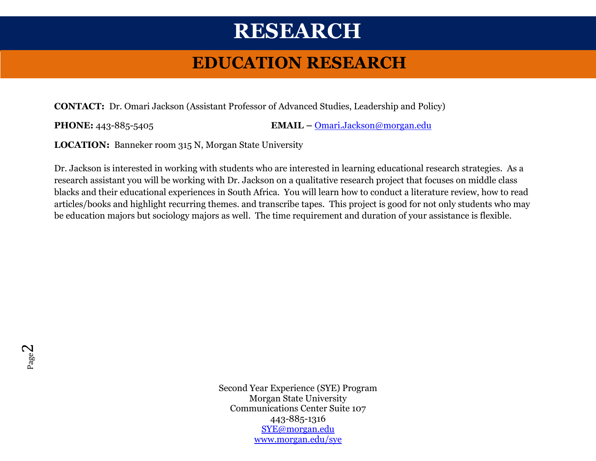### **EDUCATION RESEARCH**

**CONTACT:** Dr. Omari Jackson (Assistant Professor of Advanced Studies, Leadership and Policy)

**PHONE:** 443-885-5405 **EMAIL –** [Omari.Jackson@morgan.edu](mailto:Omari.Jackson@morgan.edu)

**LOCATION:** Banneker room 315 N, Morgan State University

Dr. Jackson is interested in working with students who are interested in learning educational research strategies. As a research assistant you will be working with Dr. Jackson on a qualitative research project that focuses on middle class blacks and their educational experiences in South Africa. You will learn how to conduct a literature review, how to read articles/books and highlight recurring themes. and transcribe tapes. This project is good for not only students who may be education majors but sociology majors as well. The time requirement and duration of your assistance is flexible.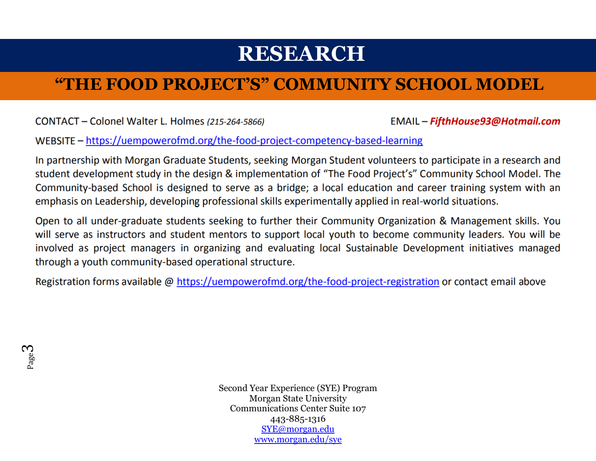### **"THE FOOD PROJECT'S" COMMUNITY SCHOOL MODEL**

CONTACT - Colonel Walter L. Holmes (215-264-5866)

EMAIL - FifthHouse93@Hotmail.com

WEBSITE - https://uempowerofmd.org/the-food-project-competency-based-learning

In partnership with Morgan Graduate Students, seeking Morgan Student volunteers to participate in a research and student development study in the design & implementation of "The Food Project's" Community School Model. The Community-based School is designed to serve as a bridge; a local education and career training system with an emphasis on Leadership, developing professional skills experimentally applied in real-world situations.

Open to all under-graduate students seeking to further their Community Organization & Management skills. You will serve as instructors and student mentors to support local youth to become community leaders. You will be involved as project managers in organizing and evaluating local Sustainable Development initiatives managed through a youth community-based operational structure.

Registration forms available @ https://uempowerofmd.org/the-food-project-registration or contact email above

Page ო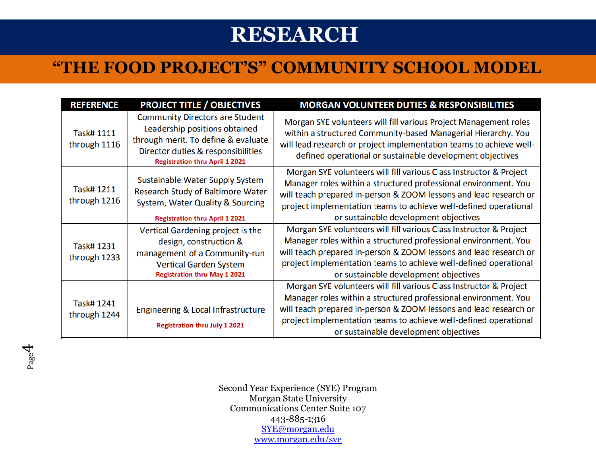### **"THE FOOD PROJECT'S" COMMUNITY SCHOOL MODEL**

| <b>REFERENCE</b>           | <b>PROJECT TITLE / OBJECTIVES</b>                                                                                                                                                             | <b>MORGAN VOLUNTEER DUTIES &amp; RESPONSIBILITIES</b>                                                                                                                                                                                                                                                                   |
|----------------------------|-----------------------------------------------------------------------------------------------------------------------------------------------------------------------------------------------|-------------------------------------------------------------------------------------------------------------------------------------------------------------------------------------------------------------------------------------------------------------------------------------------------------------------------|
| Task# 1111<br>through 1116 | <b>Community Directors are Student</b><br>Leadership positions obtained<br>through merit. To define & evaluate<br>Director duties & responsibilities<br><b>Registration thru April 1 2021</b> | Morgan SYE volunteers will fill various Project Management roles<br>within a structured Community-based Managerial Hierarchy. You<br>will lead research or project implementation teams to achieve well-<br>defined operational or sustainable development objectives                                                   |
| Task# 1211<br>through 1216 | Sustainable Water Supply System<br>Research Study of Baltimore Water<br>System, Water Quality & Sourcing<br><b>Registration thru April 1 2021</b>                                             | Morgan SYE volunteers will fill various Class Instructor & Project<br>Manager roles within a structured professional environment. You<br>will teach prepared in-person & ZOOM lessons and lead research or<br>project implementation teams to achieve well-defined operational<br>or sustainable development objectives |
| Task# 1231<br>through 1233 | Vertical Gardening project is the<br>design, construction &<br>management of a Community-run<br><b>Vertical Garden System</b><br><b>Registration thru May 1 2021</b>                          | Morgan SYE volunteers will fill various Class Instructor & Project<br>Manager roles within a structured professional environment. You<br>will teach prepared in-person & ZOOM lessons and lead research or<br>project implementation teams to achieve well-defined operational<br>or sustainable development objectives |
| Task# 1241<br>through 1244 | Engineering & Local Infrastructure<br><b>Registration thru July 1 2021</b>                                                                                                                    | Morgan SYE volunteers will fill various Class Instructor & Project<br>Manager roles within a structured professional environment. You<br>will teach prepared in-person & ZOOM lessons and lead research or<br>project implementation teams to achieve well-defined operational<br>or sustainable development objectives |